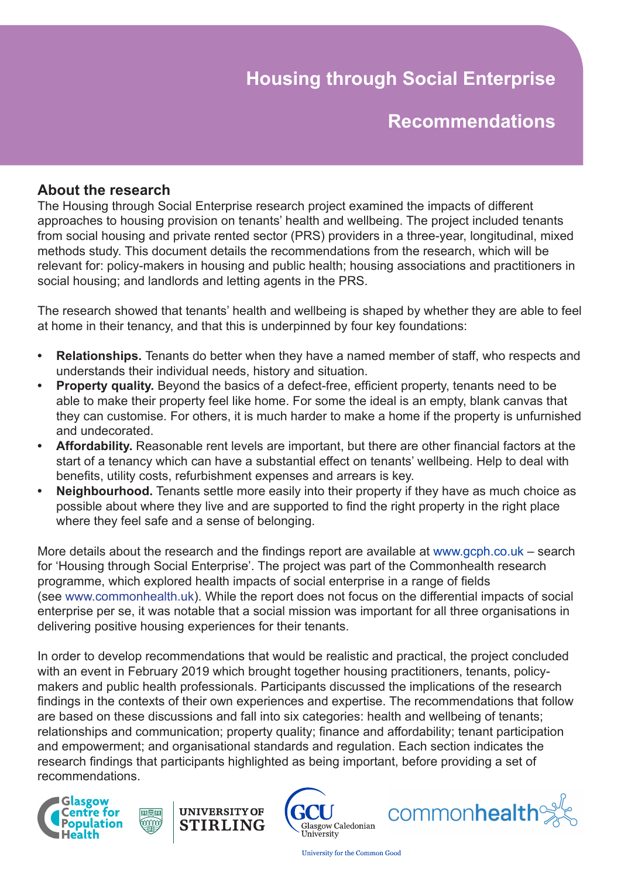# **Housing through Social Enterprise**

## **Recommendations**

## **About the research**

The Housing through Social Enterprise research project examined the impacts of different approaches to housing provision on tenants' health and wellbeing. The project included tenants from social housing and private rented sector (PRS) providers in a three-year, longitudinal, mixed methods study. This document details the recommendations from the research, which will be relevant for: policy-makers in housing and public health; housing associations and practitioners in social housing; and landlords and letting agents in the PRS.

The research showed that tenants' health and wellbeing is shaped by whether they are able to feel at home in their tenancy, and that this is underpinned by four key foundations:

- **• Relationships.** Tenants do better when they have a named member of staff, who respects and understands their individual needs, history and situation.
- **Property quality.** Beyond the basics of a defect-free, efficient property, tenants need to be able to make their property feel like home. For some the ideal is an empty, blank canvas that they can customise. For others, it is much harder to make a home if the property is unfurnished and undecorated.
- **• Affordability.** Reasonable rent levels are important, but there are other financial factors at the start of a tenancy which can have a substantial effect on tenants' wellbeing. Help to deal with benefits, utility costs, refurbishment expenses and arrears is key.
- **Neighbourhood.** Tenants settle more easily into their property if they have as much choice as possible about where they live and are supported to find the right property in the right place where they feel safe and a sense of belonging.

More details about the research and the findings report are available at www.gcph.co.uk – search for 'Housing through Social Enterprise'. The project was part of the Commonhealth research programme, which explored health impacts of social enterprise in a range of fields (see www.commonhealth.uk). While the report does not focus on the differential impacts of social enterprise per se, it was notable that a social mission was important for all three organisations in delivering positive housing experiences for their tenants.

In order to develop recommendations that would be realistic and practical, the project concluded with an event in February 2019 which brought together housing practitioners, tenants, policymakers and public health professionals. Participants discussed the implications of the research findings in the contexts of their own experiences and expertise. The recommendations that follow are based on these discussions and fall into six categories: health and wellbeing of tenants; relationships and communication; property quality; finance and affordability; tenant participation and empowerment; and organisational standards and regulation. Each section indicates the research findings that participants highlighted as being important, before providing a set of recommendations.





画買車

ՠՠՠ





**University for the Common Good**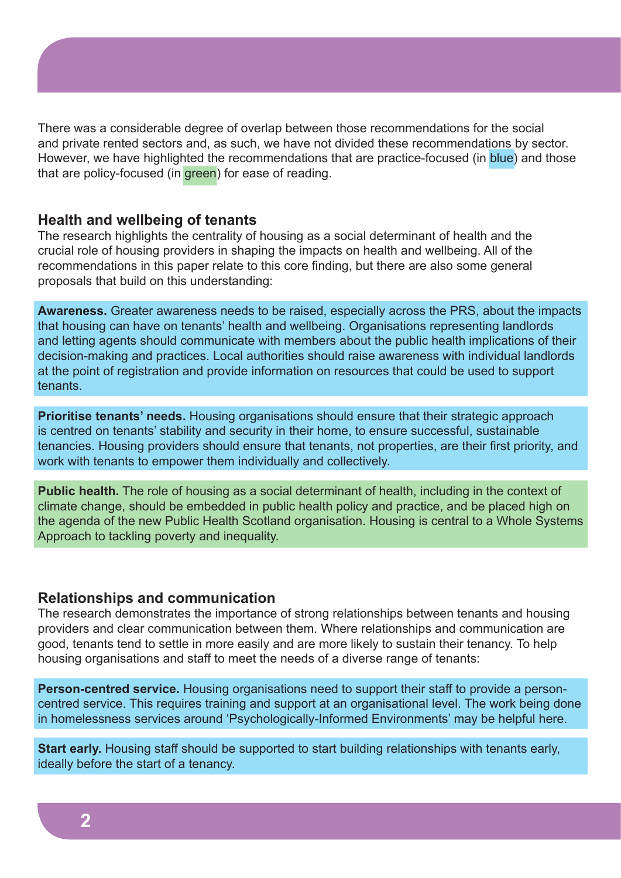There was a considerable degree of overlap between those recommendations for the social and private rented sectors and, as such, we have not divided these recommendations by sector. However, we have highlighted the recommendations that are practice-focused (in blue) and those that are policy-focused (in green) for ease of reading.

#### **Health and wellbeing of tenants**

The research highlights the centrality of housing as a social determinant of health and the crucial role of housing providers in shaping the impacts on health and wellbeing. All of the recommendations in this paper relate to this core finding, but there are also some general proposals that build on this understanding:

**Awareness.** Greater awareness needs to be raised, especially across the PRS, about the impacts that housing can have on tenants' health and wellbeing. Organisations representing landlords and letting agents should communicate with members about the public health implications of their decision-making and practices. Local authorities should raise awareness with individual landlords at the point of registration and provide information on resources that could be used to support tenants.

**Prioritise tenants' needs.** Housing organisations should ensure that their strategic approach is centred on tenants' stability and security in their home, to ensure successful, sustainable tenancies. Housing providers should ensure that tenants, not properties, are their first priority, and work with tenants to empower them individually and collectively.

**Public health.** The role of housing as a social determinant of health, including in the context of climate change, should be embedded in public health policy and practice, and be placed high on the agenda of the new Public Health Scotland organisation. Housing is central to a Whole Systems Approach to tackling poverty and inequality.

#### **Relationships and communication**

The research demonstrates the importance of strong relationships between tenants and housing providers and clear communication between them. Where relationships and communication are good, tenants tend to settle in more easily and are more likely to sustain their tenancy. To help housing organisations and staff to meet the needs of a diverse range of tenants:

**Person-centred service.** Housing organisations need to support their staff to provide a personcentred service. This requires training and support at an organisational level. The work being done in homelessness services around 'Psychologically-Informed Environments' may be helpful here.

**Start early.** Housing staff should be supported to start building relationships with tenants early, ideally before the start of a tenancy.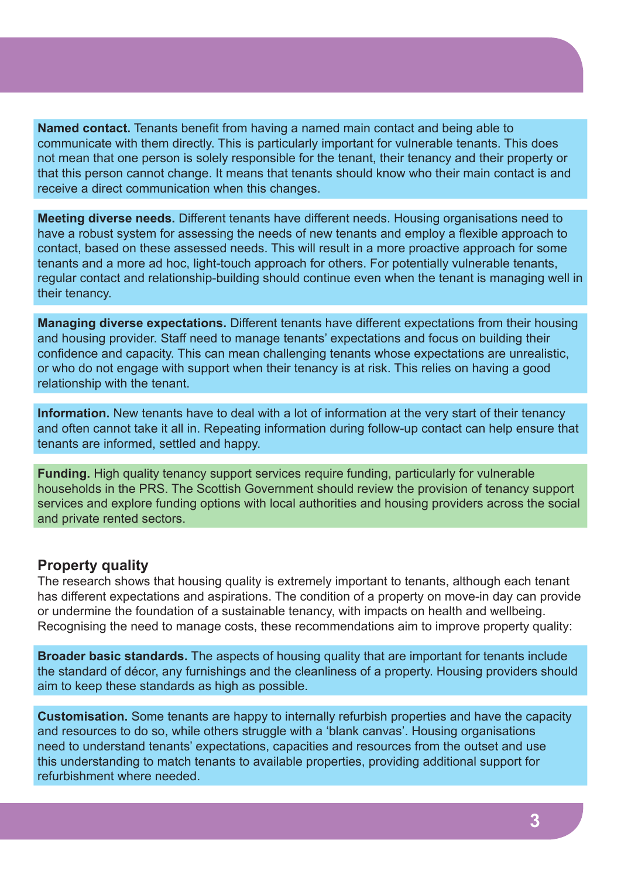**Named contact.** Tenants benefit from having a named main contact and being able to communicate with them directly. This is particularly important for vulnerable tenants. This does not mean that one person is solely responsible for the tenant, their tenancy and their property or that this person cannot change. It means that tenants should know who their main contact is and receive a direct communication when this changes.

**Meeting diverse needs.** Different tenants have different needs. Housing organisations need to have a robust system for assessing the needs of new tenants and employ a flexible approach to contact, based on these assessed needs. This will result in a more proactive approach for some tenants and a more ad hoc, light-touch approach for others. For potentially vulnerable tenants, regular contact and relationship-building should continue even when the tenant is managing well in their tenancy.

**Managing diverse expectations.** Different tenants have different expectations from their housing and housing provider. Staff need to manage tenants' expectations and focus on building their confidence and capacity. This can mean challenging tenants whose expectations are unrealistic, or who do not engage with support when their tenancy is at risk. This relies on having a good relationship with the tenant.

**Information.** New tenants have to deal with a lot of information at the very start of their tenancy and often cannot take it all in. Repeating information during follow-up contact can help ensure that tenants are informed, settled and happy.

**Funding.** High quality tenancy support services require funding, particularly for vulnerable households in the PRS. The Scottish Government should review the provision of tenancy support services and explore funding options with local authorities and housing providers across the social and private rented sectors.

### **Property quality**

The research shows that housing quality is extremely important to tenants, although each tenant has different expectations and aspirations. The condition of a property on move-in day can provide or undermine the foundation of a sustainable tenancy, with impacts on health and wellbeing. Recognising the need to manage costs, these recommendations aim to improve property quality:

**Broader basic standards.** The aspects of housing quality that are important for tenants include the standard of décor, any furnishings and the cleanliness of a property. Housing providers should aim to keep these standards as high as possible.

**Customisation.** Some tenants are happy to internally refurbish properties and have the capacity and resources to do so, while others struggle with a 'blank canvas'. Housing organisations need to understand tenants' expectations, capacities and resources from the outset and use this understanding to match tenants to available properties, providing additional support for refurbishment where needed.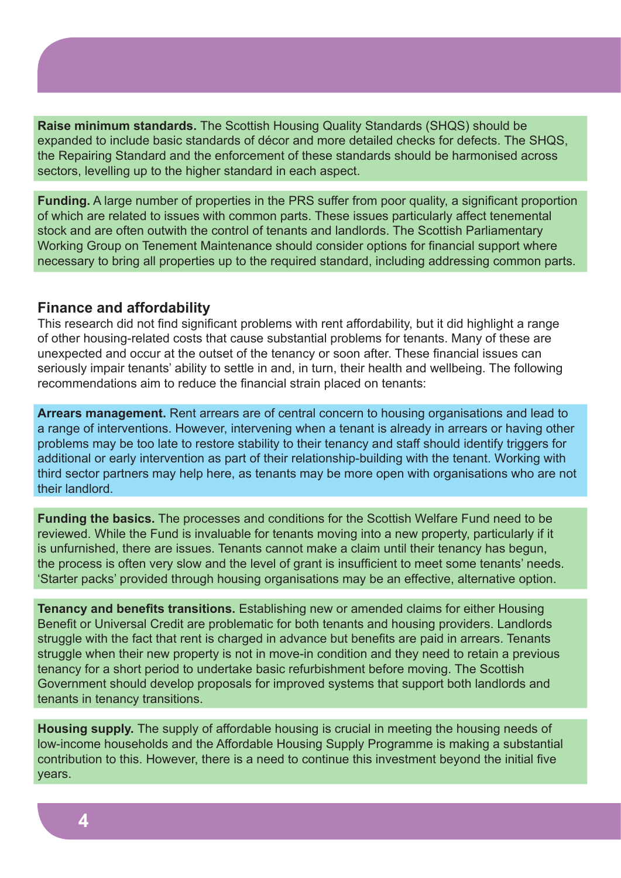**Raise minimum standards.** The Scottish Housing Quality Standards (SHQS) should be expanded to include basic standards of décor and more detailed checks for defects. The SHQS, the Repairing Standard and the enforcement of these standards should be harmonised across sectors, levelling up to the higher standard in each aspect.

**Funding.** A large number of properties in the PRS suffer from poor quality, a significant proportion of which are related to issues with common parts. These issues particularly affect tenemental stock and are often outwith the control of tenants and landlords. The Scottish Parliamentary Working Group on Tenement Maintenance should consider options for financial support where necessary to bring all properties up to the required standard, including addressing common parts.

#### **Finance and affordability**

This research did not find significant problems with rent affordability, but it did highlight a range of other housing-related costs that cause substantial problems for tenants. Many of these are unexpected and occur at the outset of the tenancy or soon after. These financial issues can seriously impair tenants' ability to settle in and, in turn, their health and wellbeing. The following recommendations aim to reduce the financial strain placed on tenants:

**Arrears management.** Rent arrears are of central concern to housing organisations and lead to a range of interventions. However, intervening when a tenant is already in arrears or having other problems may be too late to restore stability to their tenancy and staff should identify triggers for additional or early intervention as part of their relationship-building with the tenant. Working with third sector partners may help here, as tenants may be more open with organisations who are not their landlord.

**Funding the basics.** The processes and conditions for the Scottish Welfare Fund need to be reviewed. While the Fund is invaluable for tenants moving into a new property, particularly if it is unfurnished, there are issues. Tenants cannot make a claim until their tenancy has begun, the process is often very slow and the level of grant is insufficient to meet some tenants' needs. 'Starter packs' provided through housing organisations may be an effective, alternative option.

**Tenancy and benefits transitions.** Establishing new or amended claims for either Housing Benefit or Universal Credit are problematic for both tenants and housing providers. Landlords struggle with the fact that rent is charged in advance but benefits are paid in arrears. Tenants struggle when their new property is not in move-in condition and they need to retain a previous tenancy for a short period to undertake basic refurbishment before moving. The Scottish Government should develop proposals for improved systems that support both landlords and tenants in tenancy transitions.

**Housing supply.** The supply of affordable housing is crucial in meeting the housing needs of low-income households and the Affordable Housing Supply Programme is making a substantial contribution to this. However, there is a need to continue this investment beyond the initial five years.

**4**